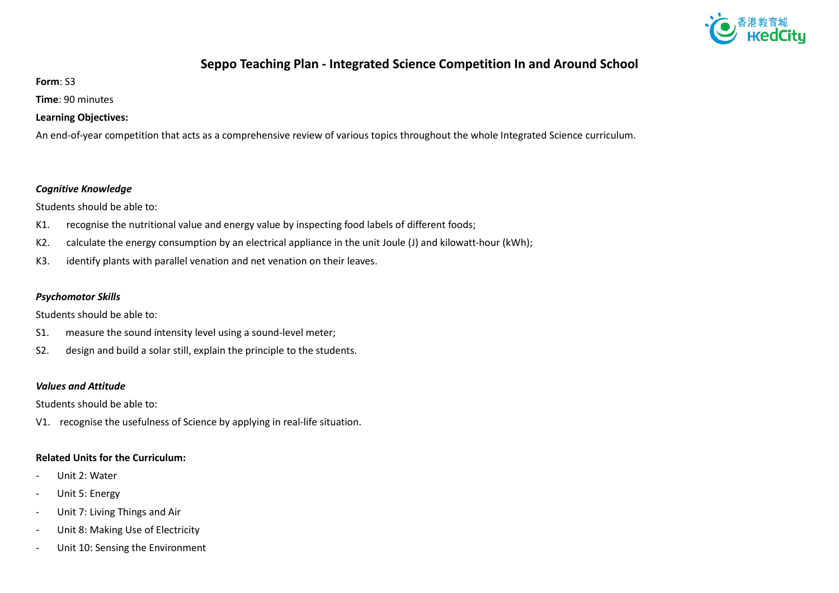

# **Seppo Teaching Plan - Integrated Science Competition In and Around School**

**Form**: S3

**Time**: 90 minutes

### **Learning Objectives:**

An end-of-year competition that acts as a comprehensive review of various topics throughout the whole Integrated Science curriculum.

#### *Cognitive Knowledge*

Students should be able to:

- K1. recognise the nutritional value and energy value by inspecting food labels of different foods;
- K2. calculate the energy consumption by an electrical appliance in the unit Joule (J) and kilowatt-hour (kWh);
- K3. identify plants with parallel venation and net venation on their leaves.

### *Psychomotor Skills*

Students should be able to:

- S1. measure the sound intensity level using a sound-level meter;
- S2. design and build a solar still, explain the principle to the students.

### *Values and Attitude*

Students should be able to:

V1. recognise the usefulness of Science by applying in real-life situation.

## **Related Units for the Curriculum:**

- Unit 2: Water
- Unit 5: Energy
- Unit 7: Living Things and Air
- Unit 8: Making Use of Electricity
- Unit 10: Sensing the Environment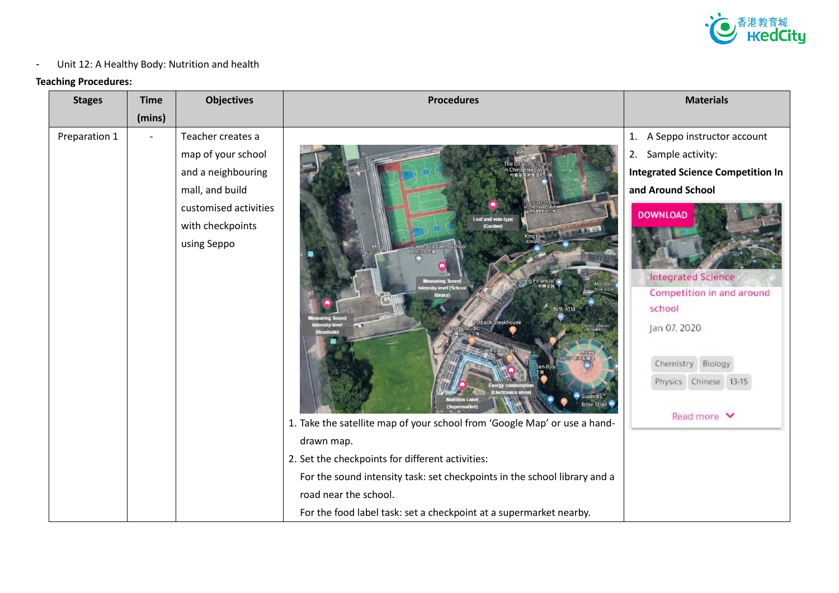

## - Unit 12: A Healthy Body: Nutrition and health

### **Teaching Procedures:**

| <b>Stages</b> | <b>Time</b> | <b>Objectives</b>     | <b>Procedures</b>                                                         | <b>Materials</b>                                       |
|---------------|-------------|-----------------------|---------------------------------------------------------------------------|--------------------------------------------------------|
|               | (mins)      |                       |                                                                           |                                                        |
| Preparation 1 |             | Teacher creates a     |                                                                           | A Seppo instructor account<br>1.                       |
|               |             | map of your school    |                                                                           | Sample activity:<br>2.                                 |
|               |             | and a neighbouring    |                                                                           | <b>Integrated Science Competition In</b>               |
|               |             | mall, and build       |                                                                           | and Around School                                      |
|               |             | customised activities |                                                                           | <b>DOWNLOAD</b>                                        |
|               |             | with checkpoints      | <b>Leaf and vein-type</b><br>(Garden)<br><b>Linda</b> Di                  |                                                        |
|               |             | using Seppo           |                                                                           |                                                        |
|               |             |                       |                                                                           |                                                        |
|               |             |                       | g Financial<br>sity level (School                                         | <b>Integrated Science</b><br>Competition in and around |
|               |             |                       |                                                                           | school                                                 |
|               |             |                       | back Steakhouse                                                           |                                                        |
|               |             |                       |                                                                           | Jan 07, 2020                                           |
|               |             |                       |                                                                           | Chemistry Biology                                      |
|               |             |                       |                                                                           | Physics Chinese 13-15                                  |
|               |             |                       |                                                                           |                                                        |
|               |             |                       | 1. Take the satellite map of your school from 'Google Map' or use a hand- | Read more V                                            |
|               |             |                       | drawn map.                                                                |                                                        |
|               |             |                       |                                                                           |                                                        |
|               |             |                       | 2. Set the checkpoints for different activities:                          |                                                        |
|               |             |                       | For the sound intensity task: set checkpoints in the school library and a |                                                        |
|               |             |                       | road near the school.                                                     |                                                        |
|               |             |                       | For the food label task: set a checkpoint at a supermarket nearby.        |                                                        |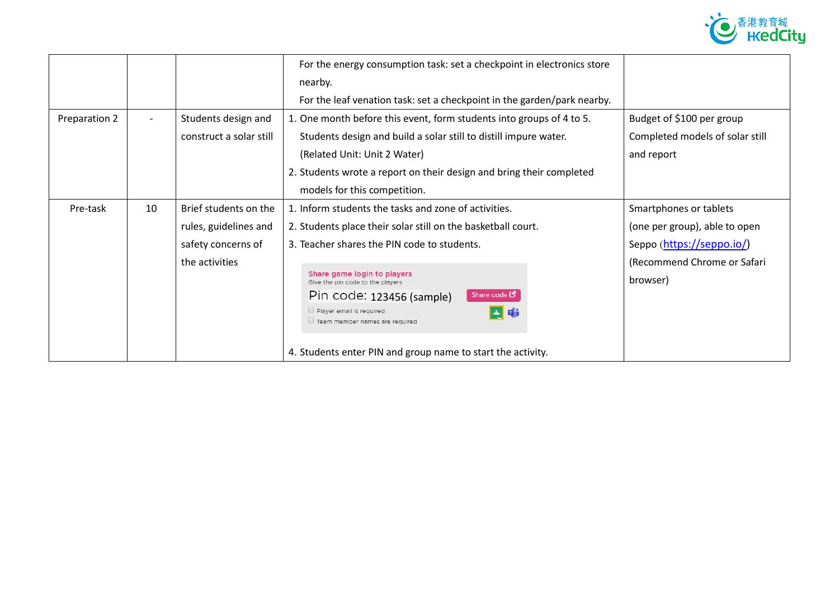

|               |                          |                         | For the energy consumption task: set a checkpoint in electronics store  |                                 |
|---------------|--------------------------|-------------------------|-------------------------------------------------------------------------|---------------------------------|
|               |                          |                         | nearby.                                                                 |                                 |
|               |                          |                         | For the leaf venation task: set a checkpoint in the garden/park nearby. |                                 |
| Preparation 2 | $\overline{\phantom{a}}$ | Students design and     | 1. One month before this event, form students into groups of 4 to 5.    | Budget of \$100 per group       |
|               |                          | construct a solar still | Students design and build a solar still to distill impure water.        | Completed models of solar still |
|               |                          |                         | (Related Unit: Unit 2 Water)                                            | and report                      |
|               |                          |                         | 2. Students wrote a report on their design and bring their completed    |                                 |
|               |                          |                         | models for this competition.                                            |                                 |
| Pre-task      | 10                       | Brief students on the   | 1. Inform students the tasks and zone of activities.                    | Smartphones or tablets          |
|               |                          | rules, guidelines and   | 2. Students place their solar still on the basketball court.            | (one per group), able to open   |
|               |                          | safety concerns of      | 3. Teacher shares the PIN code to students.                             | Seppo (https://seppo.io/)       |
|               |                          | the activities          |                                                                         | (Recommend Chrome or Safari     |
|               |                          |                         | Share game login to players<br>Give the pin code to the players         | browser)                        |
|               |                          |                         | Share code $\mathbf C$<br>Pin code: 123456 (sample)                     |                                 |
|               |                          |                         | Player email is required<br>四心<br>Team member names are required        |                                 |
|               |                          |                         | 4. Students enter PIN and group name to start the activity.             |                                 |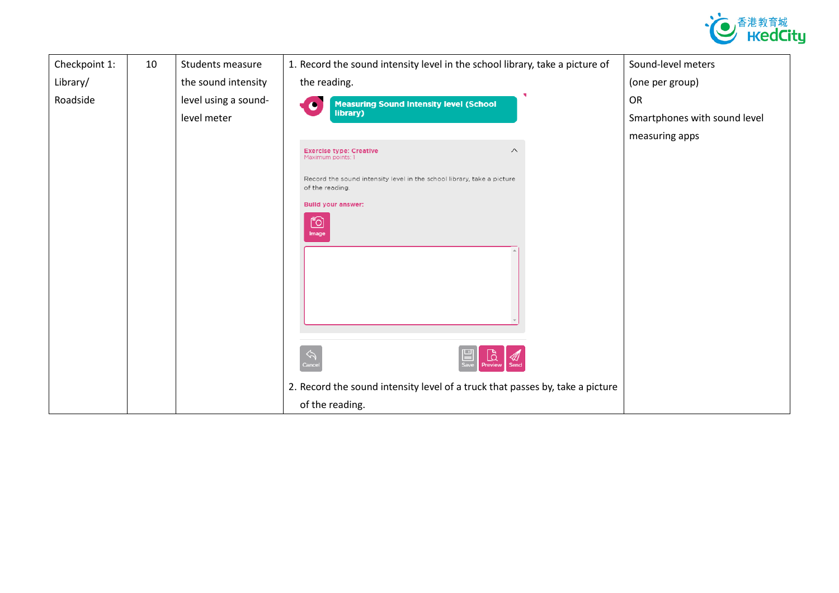

| Checkpoint 1: | 10 | Students measure     | 1. Record the sound intensity level in the school library, take a picture of              | Sound-level meters           |
|---------------|----|----------------------|-------------------------------------------------------------------------------------------|------------------------------|
| Library/      |    | the sound intensity  | the reading.                                                                              | (one per group)              |
| Roadside      |    | level using a sound- | <b>Measuring Sound Intensity level (School</b><br>$\bullet$                               | OR                           |
|               |    | level meter          | library)                                                                                  | Smartphones with sound level |
|               |    |                      |                                                                                           | measuring apps               |
|               |    |                      | <b>Exercise type: Creative</b><br>$\wedge$<br>Maximum points: 1                           |                              |
|               |    |                      | Record the sound intensity level in the school library, take a picture<br>of the reading. |                              |
|               |    |                      | <b>Build your answer:</b>                                                                 |                              |
|               |    |                      | Õ<br>Image                                                                                |                              |
|               |    |                      |                                                                                           |                              |
|               |    |                      |                                                                                           |                              |
|               |    |                      | Lä<br>≪Д                                                                                  |                              |
|               |    |                      | 2. Record the sound intensity level of a truck that passes by, take a picture             |                              |
|               |    |                      | of the reading.                                                                           |                              |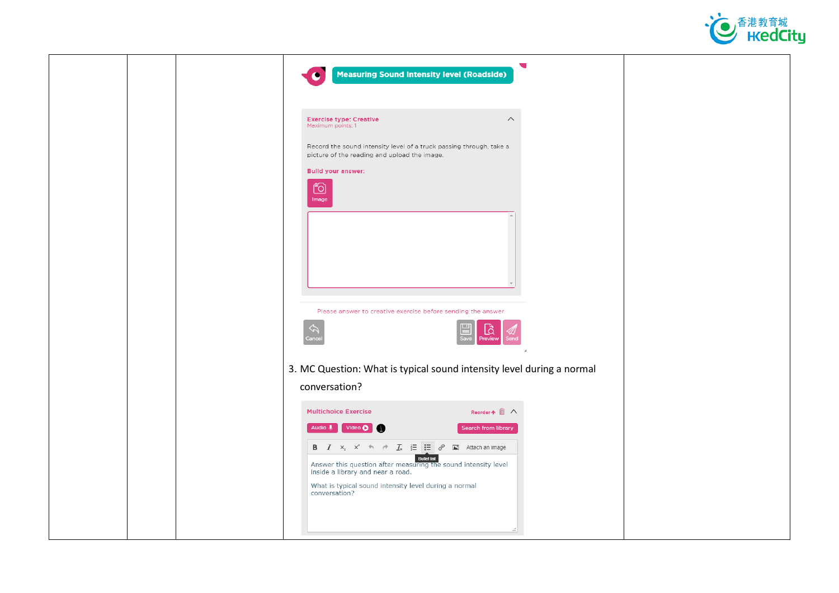

|  | $\overline{\phantom{0}}$<br><b>Measuring Sound Intensity level (Roadside)</b>                                                                                                                                                                                                                                                                                                                                                                               |
|--|-------------------------------------------------------------------------------------------------------------------------------------------------------------------------------------------------------------------------------------------------------------------------------------------------------------------------------------------------------------------------------------------------------------------------------------------------------------|
|  | <b>Exercise type: Creative</b><br>$\land$<br>Maximum points: 1<br>Record the sound intensity level of a truck passing through, take a<br>picture of the reading and upload the image.<br><b>Build your answer:</b><br><u>්ට</u><br>Image                                                                                                                                                                                                                    |
|  | Please answer to creative exercise before sending the answer.<br>$\bigcirc_{\text{Preview}}$                                                                                                                                                                                                                                                                                                                                                                |
|  | 3. MC Question: What is typical sound intensity level during a normal<br>conversation?                                                                                                                                                                                                                                                                                                                                                                      |
|  | <b>Multichoice Exercise</b><br>Reorder ↑ 1 へ<br>Audio Video O<br>Search from library<br><b>B</b> $I \times_{z}^{\circ} \times^{\circ} \leftrightarrow \rightarrow I \times \mathbb{R}$ $\mathbb{E}$ $\mathbb{E}$ $\phi$ $\mathbb{E}$ Attach an image<br><b>Bullet list</b><br>Answer this question after measuring the sound intensity level<br>inside a library and near a road.<br>What is typical sound intensity level during a normal<br>conversation? |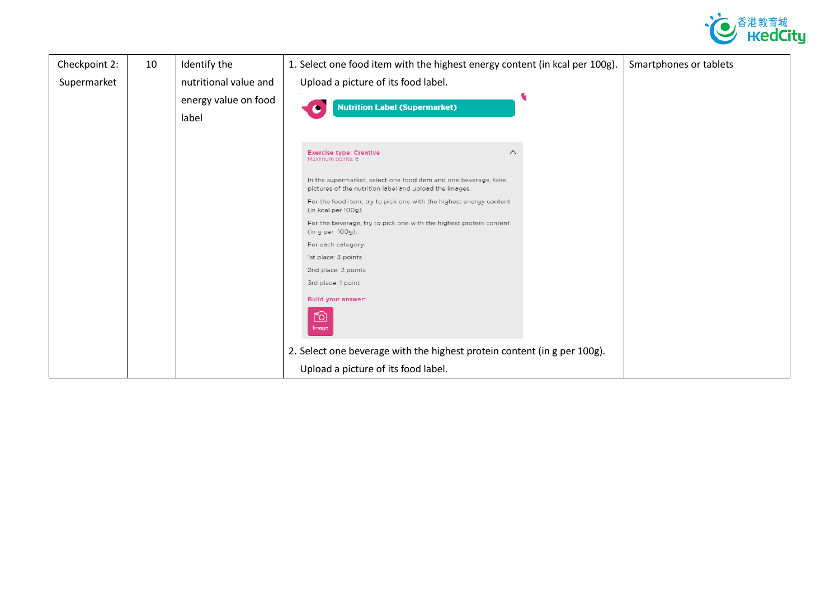

| Checkpoint 2: | 10 | Identify the                  | 1. Select one food item with the highest energy content (in kcal per 100g).                                                        | Smartphones or tablets |
|---------------|----|-------------------------------|------------------------------------------------------------------------------------------------------------------------------------|------------------------|
| Supermarket   |    | nutritional value and         | Upload a picture of its food label.                                                                                                |                        |
|               |    | energy value on food<br>label | <b>Nutrition Label (Supermarket)</b>                                                                                               |                        |
|               |    |                               | $\wedge$<br><b>Exercise type: Creative</b><br>Maximum points: 6<br>In the supermarket, select one food item and one beverage, take |                        |
|               |    |                               | pictures of the nutrition label and upload the images.                                                                             |                        |
|               |    |                               | For the food item, try to pick one with the highest energy content<br>(in kcal per 100g).                                          |                        |
|               |    |                               | For the beverage, try to pick one with the highest protein content<br>(in g per 100g).                                             |                        |
|               |    |                               | For each category:                                                                                                                 |                        |
|               |    |                               | 1st place: 3 points                                                                                                                |                        |
|               |    |                               | 2nd place: 2 points                                                                                                                |                        |
|               |    |                               | 3rd place: 1 point                                                                                                                 |                        |
|               |    |                               | <b>Bulld your answer:</b>                                                                                                          |                        |
|               |    |                               | <u>fo</u><br>Image                                                                                                                 |                        |
|               |    |                               | 2. Select one beverage with the highest protein content (in g per 100g).                                                           |                        |
|               |    |                               | Upload a picture of its food label.                                                                                                |                        |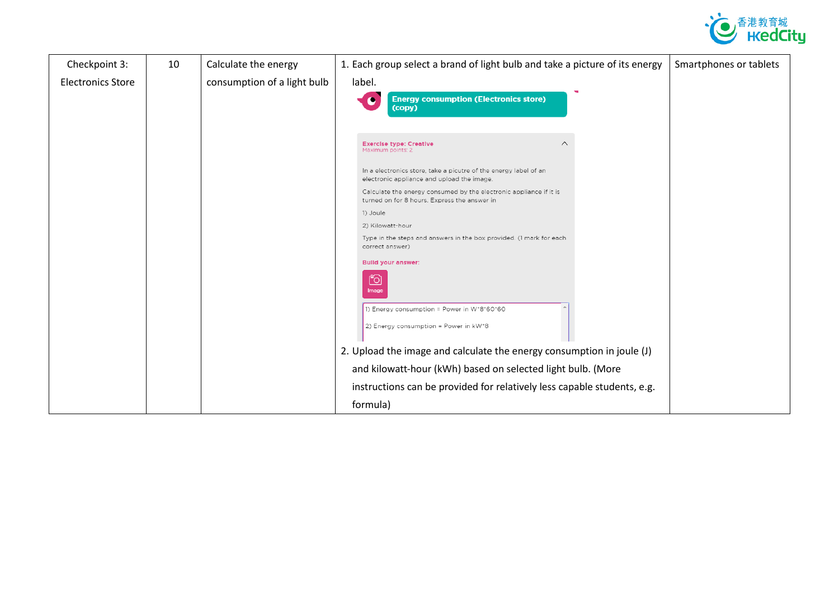

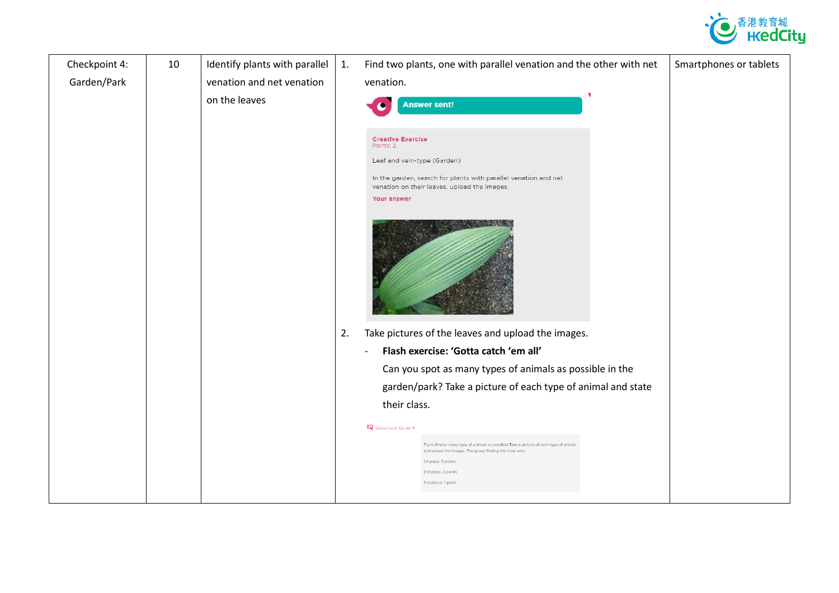

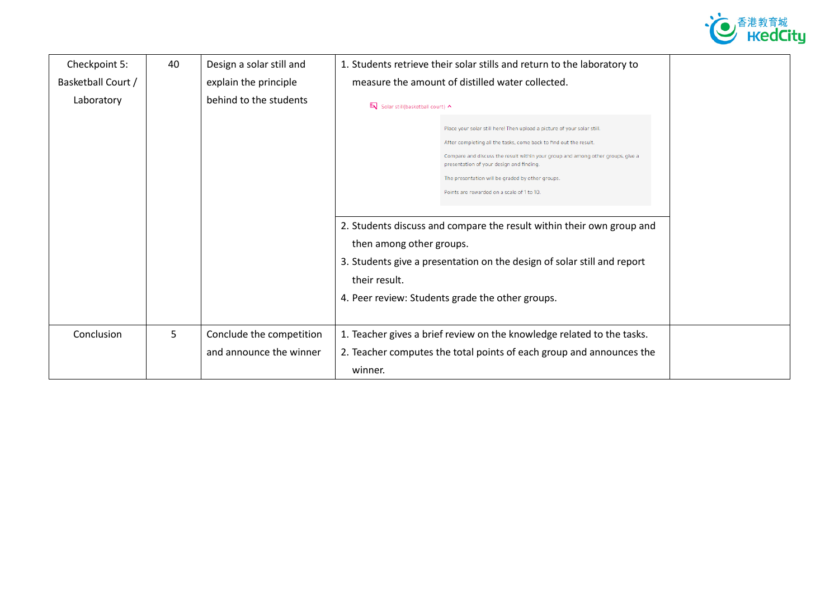

| Checkpoint 5:      | 40 | Design a solar still and | 1. Students retrieve their solar stills and return to the laboratory to                                                                                                                                                                                                                                                                                                                                                                                                                                                                                                        |
|--------------------|----|--------------------------|--------------------------------------------------------------------------------------------------------------------------------------------------------------------------------------------------------------------------------------------------------------------------------------------------------------------------------------------------------------------------------------------------------------------------------------------------------------------------------------------------------------------------------------------------------------------------------|
| Basketball Court / |    | explain the principle    | measure the amount of distilled water collected.                                                                                                                                                                                                                                                                                                                                                                                                                                                                                                                               |
| Laboratory         |    | behind to the students   | <b>E</b> V Solar still(basketball court) ^                                                                                                                                                                                                                                                                                                                                                                                                                                                                                                                                     |
|                    |    |                          | Place your solar still here! Then upload a picture of your solar still.<br>After completing all the tasks, come back to find out the result.<br>Compare and discuss the result within your group and among other groups, give a<br>presentation of your design and finding.<br>The presentation will be graded by other groups.<br>Points are rewarded on a scale of 1 to 10.<br>2. Students discuss and compare the result within their own group and<br>then among other groups.<br>3. Students give a presentation on the design of solar still and report<br>their result. |
|                    |    |                          | 4. Peer review: Students grade the other groups.                                                                                                                                                                                                                                                                                                                                                                                                                                                                                                                               |
|                    |    |                          |                                                                                                                                                                                                                                                                                                                                                                                                                                                                                                                                                                                |
| Conclusion         | 5  | Conclude the competition | 1. Teacher gives a brief review on the knowledge related to the tasks.                                                                                                                                                                                                                                                                                                                                                                                                                                                                                                         |
|                    |    | and announce the winner  | 2. Teacher computes the total points of each group and announces the                                                                                                                                                                                                                                                                                                                                                                                                                                                                                                           |
|                    |    |                          | winner.                                                                                                                                                                                                                                                                                                                                                                                                                                                                                                                                                                        |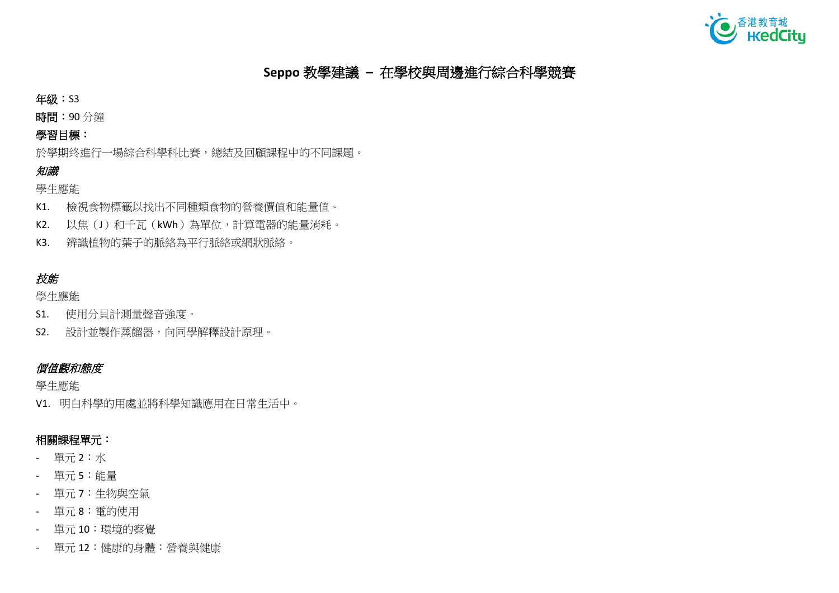

# **Seppo** 教學建議 **–** 在學校與周邊進行綜合科學競賽

年級:S3

時間:90 分鐘

## 學習目標:

於學期终進行一場綜合科學科比賽,總結及回顧課程中的不同課題。

## 知識

學生應能

- K1. 檢視食物標籤以找出不同種類食物的營養價值和能量值。
- K2. 以焦(J)和千瓦(kWh)為單位,計算電器的能量消耗。
- K3. 辨識植物的葉子的脈絡為平行脈絡或網狀脈絡。

# 技能

學生應能

- S1. 使用分貝計測量聲音強度。
- S2. 設計並製作蒸餾器,向同學解釋設計原理。

### 價值觀和態度

學生應能

V1. 明白科學的用處並將科學知識應用在日常生活中。

## 相關課程單元:

- 單元 2:水
- 單元 5:能量
- 單元 7:生物與空氣
- 單元 8:電的使用
- 單元 10:環境的察覺
- 單元 12:健康的身體:營養與健康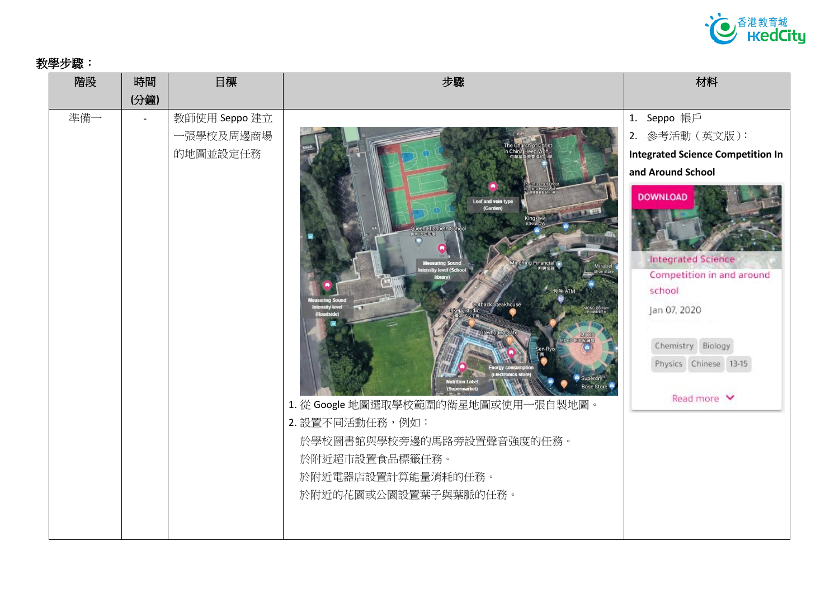

# 教學步驟:

| 階段  | 時間                       | 目標            | 步驟                                                                                                                                                                                                                                                                                                                                  | 材料                                                                                                                                                |
|-----|--------------------------|---------------|-------------------------------------------------------------------------------------------------------------------------------------------------------------------------------------------------------------------------------------------------------------------------------------------------------------------------------------|---------------------------------------------------------------------------------------------------------------------------------------------------|
|     | (分鐘)                     |               |                                                                                                                                                                                                                                                                                                                                     |                                                                                                                                                   |
| 準備一 | $\overline{\phantom{a}}$ | 教師使用 Seppo 建立 |                                                                                                                                                                                                                                                                                                                                     | 1. Seppo 帳戶                                                                                                                                       |
|     |                          | 一張學校及周邊商場     |                                                                                                                                                                                                                                                                                                                                     | 2. 參考活動 (英文版):                                                                                                                                    |
|     |                          | 的地圖並設定任務      |                                                                                                                                                                                                                                                                                                                                     | <b>Integrated Science Competition In</b>                                                                                                          |
|     |                          |               |                                                                                                                                                                                                                                                                                                                                     | and Around School                                                                                                                                 |
|     |                          |               | <b>Leaf and vein-type</b><br>(Garden)<br>ingkow <b>Contract Contract Contract Contract Contract Contract Contract Contract Contract Contract Contract Contract Contract Contract Contract Contract Contract Contract Contract Contract Contract Contract Contract Contrac</b><br>Queen Elizabeth<br>inghing Financial<br>Steakhouse | <b>DOWNLOAD</b><br><b>Integrated Science</b><br>Competition in and around<br>school<br>Jan 07, 2020<br>Chemistry Biology<br>Physics Chinese 13-15 |
|     |                          |               | 1. 從 Google 地圖選取學校範圍的衛星地圖或使用一張自製地圖。                                                                                                                                                                                                                                                                                                 | Read more V                                                                                                                                       |
|     |                          |               | 2. 設置不同活動任務,例如:                                                                                                                                                                                                                                                                                                                     |                                                                                                                                                   |
|     |                          |               | 於學校圖書館與學校旁邊的馬路旁設置聲音強度的任務。                                                                                                                                                                                                                                                                                                           |                                                                                                                                                   |
|     |                          |               | 於附近超市設置食品標籤任務。                                                                                                                                                                                                                                                                                                                      |                                                                                                                                                   |
|     |                          |               | 於附近電器店設置計算能量消耗的任務。                                                                                                                                                                                                                                                                                                                  |                                                                                                                                                   |
|     |                          |               | 於附近的花園或公園設置葉子與葉脈的任務。                                                                                                                                                                                                                                                                                                                |                                                                                                                                                   |
|     |                          |               |                                                                                                                                                                                                                                                                                                                                     |                                                                                                                                                   |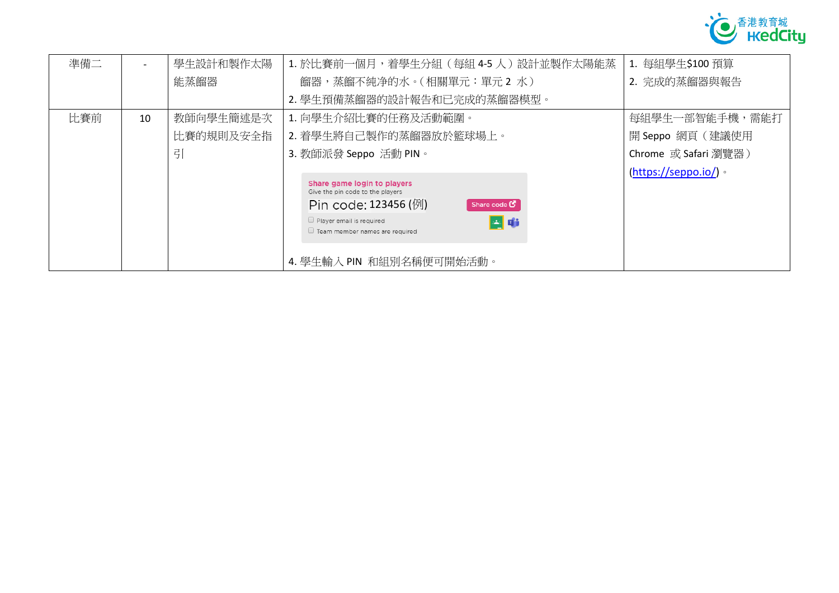

| 準備二 |    | 學生設計和製作太陽 | 1. 於比賽前一個月,着學生分組(每組 4-5 人)設計並製作太陽能蒸                                                                                                                                                                               | 1. 每組學生\$100 預算       |
|-----|----|-----------|-------------------------------------------------------------------------------------------------------------------------------------------------------------------------------------------------------------------|-----------------------|
|     |    | 能蒸餾器      | 餾器,蒸餾不純净的水。(相關單元:單元2水)                                                                                                                                                                                            | 2. 完成的蒸餾器與報告          |
|     |    |           | 2. 學生預備蒸餾器的設計報告和已完成的蒸餾器模型。                                                                                                                                                                                        |                       |
| 比賽前 | 10 | 教師向學生簡述是次 | 1. 向學生介紹比賽的任務及活動範圍。                                                                                                                                                                                               | 每組學生一部智能手機,需能打        |
|     |    | 比賽的規則及安全指 | 2. 着學生將自己製作的蒸餾器放於籃球場上。                                                                                                                                                                                            | 開 Seppo 網頁 (建議使用      |
|     |    | 引         | 3. 教師派發 Seppo 活動 PIN。                                                                                                                                                                                             | Chrome 或 Safari 瀏覽器)  |
|     |    |           | Share game login to players<br>Give the pin code to the players<br>Pin code: 123456 (例)<br>Share code $\mathbf C$<br>Player email is required<br>四市<br>Team member names are required<br>4. 學生輸入 PIN 和組別名稱便可開始活動。 | $(https://seppo.io/)$ |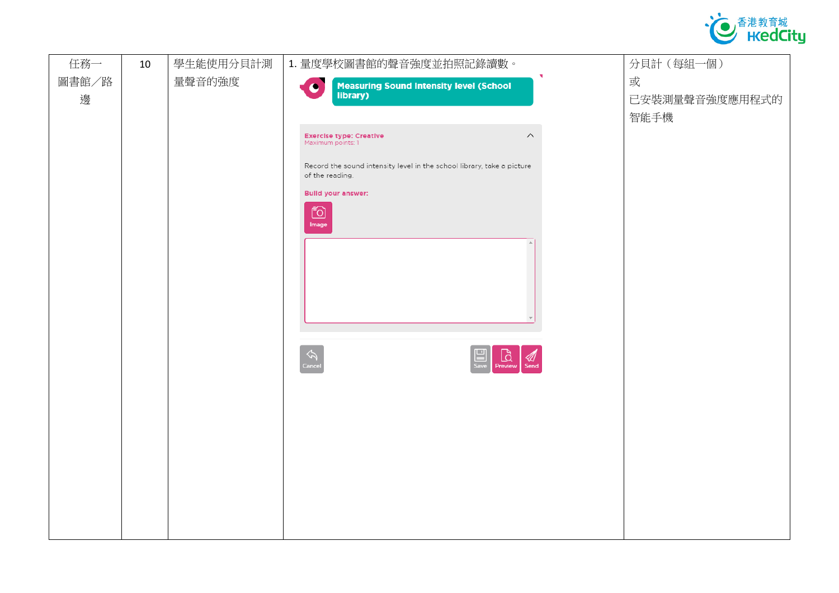

| 任務一        | 10 | 學生能使用分貝計測 | 1. 量度學校圖書館的聲音強度並拍照記錄讀數。                                                                                                                                                                                                                                                                                          | 分貝計(每組一個)                   |
|------------|----|-----------|------------------------------------------------------------------------------------------------------------------------------------------------------------------------------------------------------------------------------------------------------------------------------------------------------------------|-----------------------------|
| 圖書館/路<br>邊 |    | 量聲音的強度    | Measuring Sound Intensity level (School<br>library)<br><b>CO</b>                                                                                                                                                                                                                                                 | 或<br>已安裝測量聲音強度應用程式的<br>智能手機 |
|            |    |           | <b>Exercise type: Creative</b><br>$\land$<br>Maximum points: 1<br>Record the sound intensity level in the school library, take a picture<br>of the reading.<br><b>Build your answer:</b><br><u>ið</u><br>Image<br>$\bigcirc$<br>Preview<br>$\mathop{\bigotimes}\limits_{\mathsf{Cancs}}$<br>$\mathbb{Z}$<br>Send |                             |
|            |    |           |                                                                                                                                                                                                                                                                                                                  |                             |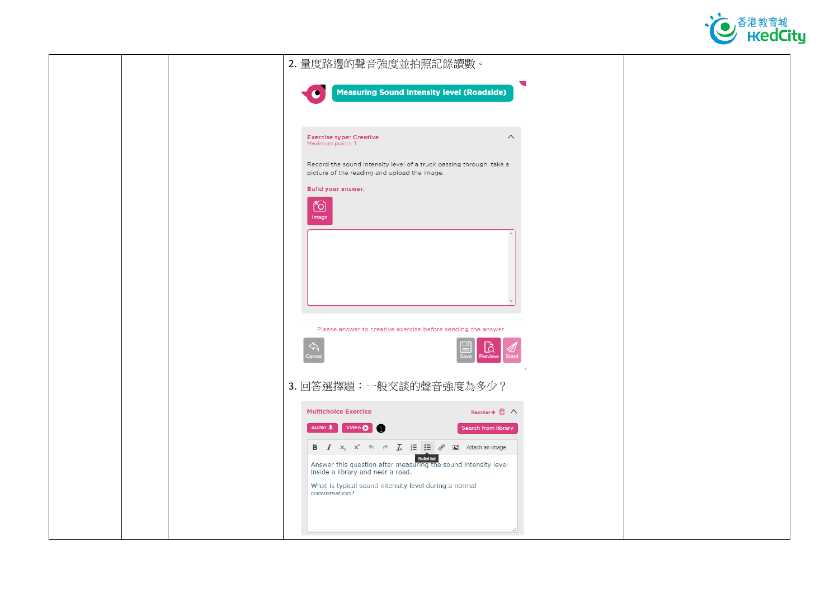

| 2. 量度路邊的聲音強度並拍照記錄讀數。                                                                                                                                                                                                                                                                                                                                                                                  |
|-------------------------------------------------------------------------------------------------------------------------------------------------------------------------------------------------------------------------------------------------------------------------------------------------------------------------------------------------------------------------------------------------------|
| $\overline{\phantom{0}}$<br><b>Measuring Sound Intensity level (Roadside)</b><br>$\bullet$                                                                                                                                                                                                                                                                                                            |
| <b>Exercise type: Creative</b><br>$\curvearrowright$<br>Maximum points: 1<br>Record the sound intensity level of a truck passing through, take a<br>picture of the reading and upload the image.<br><b>Build your answer:</b><br><b>6</b><br>Image<br>Please answer to creative exercise before sending the answer.                                                                                   |
| $\mathbb{E}$<br>Save<br>$\bigcirc_{\text{Previous}}$<br>3. 回答選擇題:一般交談的聲音強度為多少?                                                                                                                                                                                                                                                                                                                        |
| <b>Multichoice Exercise</b><br>Reorder $\uparrow \hat{m} \wedge$<br>Audio U Video O<br>Search from library<br><b>B</b> $I \times_{z}^{\circ} \times^{z} \leftrightarrow \rightarrow I_{x} \equiv \equiv \equiv \circ^{0} \equiv$ Attach an image<br>Building the sound intensity level<br>inside a library and near a road.<br>What is typical sound intensity level during a normal<br>conversation? |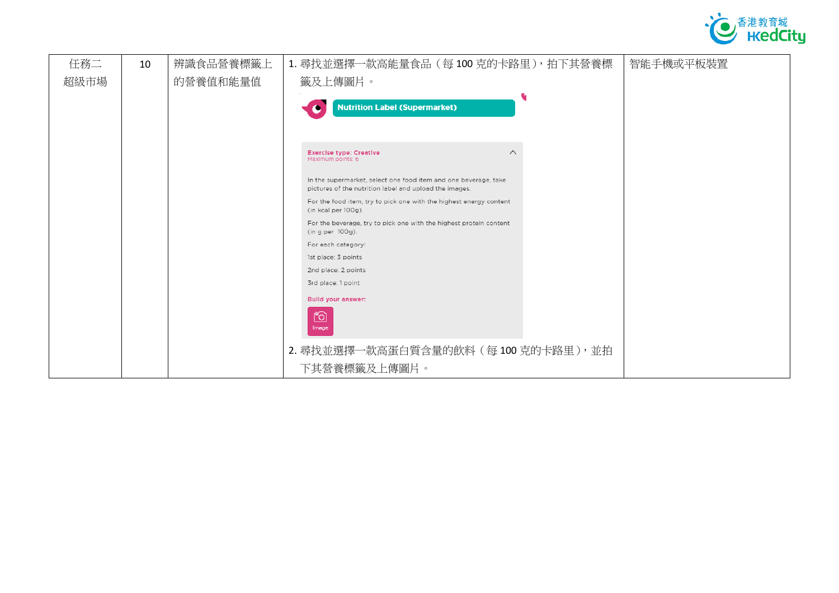

| 任務二  | 10 | 辨識食品營養標籤上 | 1. 尋找並選擇一款高能量食品 (每100 克的卡路里), 拍下其營養標                                                      | 智能手機或平板裝置 |
|------|----|-----------|-------------------------------------------------------------------------------------------|-----------|
| 超級市場 |    | 的營養值和能量值  | 籤及上傳圖片。                                                                                   |           |
|      |    |           |                                                                                           |           |
|      |    |           | <b>Nutrition Label (Supermarket)</b>                                                      |           |
|      |    |           |                                                                                           |           |
|      |    |           |                                                                                           |           |
|      |    |           | $\curvearrowright$<br><b>Exercise type: Creative</b><br>Maximum points: 6                 |           |
|      |    |           | In the supermarket, select one food item and one beverage, take                           |           |
|      |    |           | pictures of the nutrition label and upload the images.                                    |           |
|      |    |           | For the food item, try to pick one with the highest energy content<br>(in kcal per 100g). |           |
|      |    |           | For the beverage, try to pick one with the highest protein content<br>(in g per 100g).    |           |
|      |    |           | For each category:                                                                        |           |
|      |    |           | 1st place: 3 points                                                                       |           |
|      |    |           | 2nd place: 2 points                                                                       |           |
|      |    |           | 3rd place: 1 point                                                                        |           |
|      |    |           | <b>Bulld your answer:</b>                                                                 |           |
|      |    |           | Õ                                                                                         |           |
|      |    |           | Image                                                                                     |           |
|      |    |           | 2. 尋找並選擇一款高蛋白質含量的飲料 (每100克的卡路里), 並拍                                                       |           |
|      |    |           | 下其營養標籤及上傳圖片。                                                                              |           |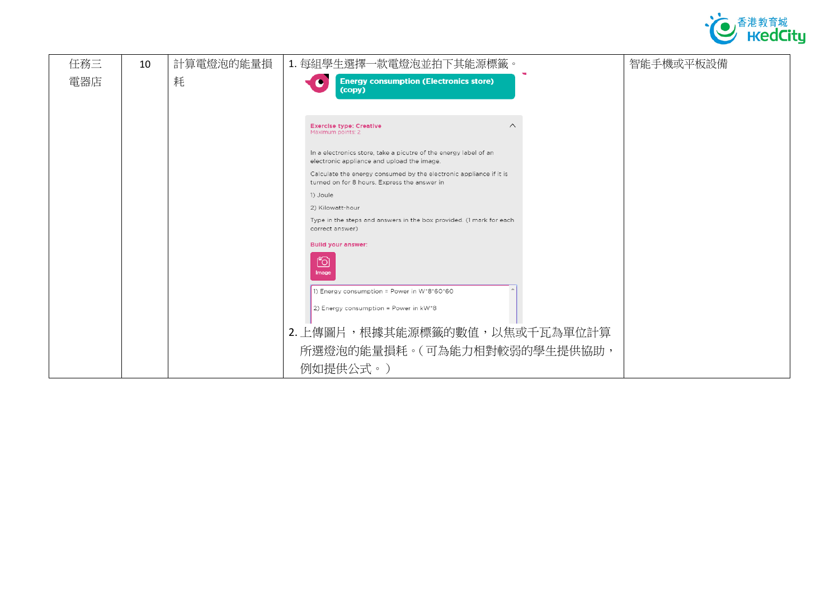

| 任務三 | 10 | 計算電燈泡的能量損 | 1. 每組學生選擇一款電燈泡並拍下其能源標籤。                                                                                            | 智能手機或平板設備 |
|-----|----|-----------|--------------------------------------------------------------------------------------------------------------------|-----------|
| 電器店 |    | 耗         | <b>Energy consumption (Electronics store)</b><br>(copy)                                                            |           |
|     |    |           | $\wedge$<br><b>Exercise type: Creative</b><br>Maximum points: 2                                                    |           |
|     |    |           | In a electronics store, take a picutre of the energy label of an<br>electronic appliance and upload the image.     |           |
|     |    |           | Calculate the energy consumed by the electronic appliance if it is<br>turned on for 8 hours. Express the answer in |           |
|     |    |           | 1) Joule                                                                                                           |           |
|     |    |           | 2) Kilowatt-hour                                                                                                   |           |
|     |    |           | Type in the steps and answers in the box provided. (1 mark for each                                                |           |
|     |    |           | correct answer)<br><b>Bulld your answer:</b>                                                                       |           |
|     |    |           | <b>门</b><br>Image                                                                                                  |           |
|     |    |           | 1) Energy consumption = Power in W*8*60*60                                                                         |           |
|     |    |           | 2) Energy consumption = Power in $kW^*8$                                                                           |           |
|     |    |           | 2. 上傳圖片,根據其能源標籤的數值,以焦或千瓦為單位計算                                                                                      |           |
|     |    |           | 所選燈泡的能量損耗。(可為能力相對較弱的學生提供協助,                                                                                        |           |
|     |    |           | 例如提供公式。)                                                                                                           |           |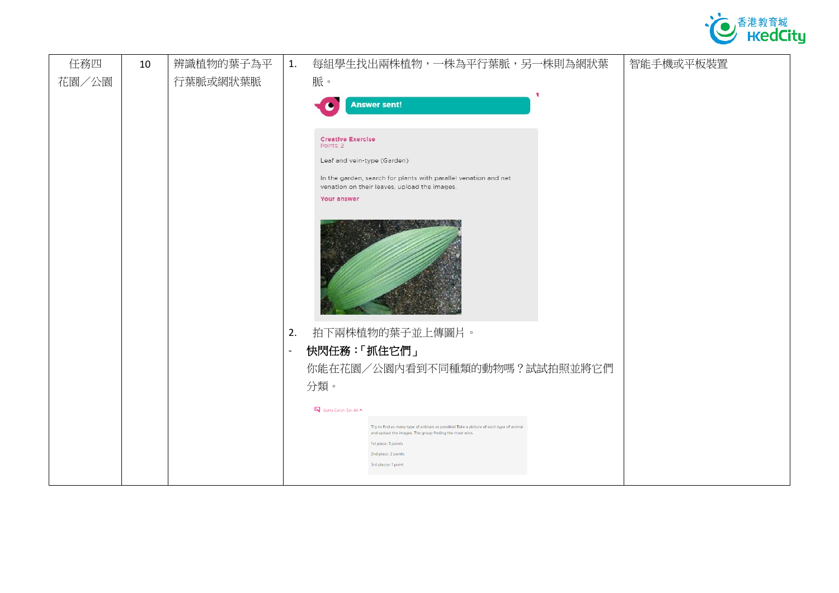

| 任務四   | 10 | 辨識植物的葉子為平 | 1.             | 每組學生找出兩株植物,一株為平行葉脈,另一株則為網狀葉<br>智能手機或平板裝置                                                                                                          |
|-------|----|-----------|----------------|---------------------------------------------------------------------------------------------------------------------------------------------------|
| 花園/公園 |    | 行葉脈或網狀葉脈  |                | 脈。                                                                                                                                                |
|       |    |           |                | <b>Answer sent!</b>                                                                                                                               |
|       |    |           |                | <b>Creative Exercise</b><br>Points: 2                                                                                                             |
|       |    |           |                | Leaf and vein-type (Garden)                                                                                                                       |
|       |    |           |                | In the garden, search for plants with parallel venation and net<br>venation on their leaves, upload the images.<br>Your answer                    |
|       |    |           |                |                                                                                                                                                   |
|       |    |           |                |                                                                                                                                                   |
|       |    |           | 2.             | 拍下兩株植物的葉子並上傳圖片。                                                                                                                                   |
|       |    |           | $\blacksquare$ | 快閃任務:「抓住它們」                                                                                                                                       |
|       |    |           |                | 你能在花園/公園內看到不同種類的動物嗎?試試拍照並將它們                                                                                                                      |
|       |    |           |                | 分類。                                                                                                                                               |
|       |    |           |                | Gotta Catch 'Em All ^                                                                                                                             |
|       |    |           |                | Try to find as many type of animals as possible! Take a picture of each type of animal<br>and upload the images. The group finding the most wins. |
|       |    |           |                | 1st place: 3 points<br>2nd place: 2 points                                                                                                        |
|       |    |           |                | 3rd placce: 1 point                                                                                                                               |
|       |    |           |                |                                                                                                                                                   |